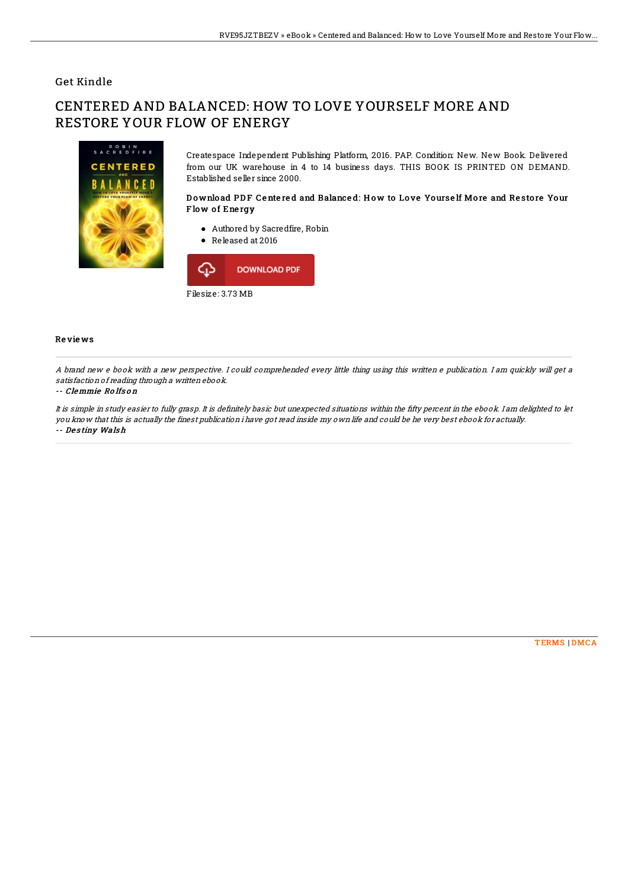# Get Kindle

# CENTERED AND BALANCED: HOW TO LOVE YOURSELF MORE AND RESTORE YOUR FLOW OF ENERGY



Createspace Independent Publishing Platform, 2016. PAP. Condition: New. New Book. Delivered from our UK warehouse in 4 to 14 business days. THIS BOOK IS PRINTED ON DEMAND. Established seller since 2000.

### Download PDF Centered and Balanced: How to Love Yourself More and Restore Your Flow of Energy

- Authored by Sacredfire, Robin
- Released at 2016



#### Re vie ws

A brand new <sup>e</sup> book with <sup>a</sup> new perspective. I could comprehended every little thing using this written <sup>e</sup> publication. I am quickly will get <sup>a</sup> satisfaction of reading through <sup>a</sup> written ebook.

#### -- Clemmie Ro lfs o <sup>n</sup>

It is simple in study easier to fully grasp. It is definitely basic but unexpected situations within the fifty percent in the ebook. I am delighted to let you know that this is actually the finest publication i have got read inside my own life and could be he very best ebook for actually. -- De <sup>s</sup> tiny Wals h